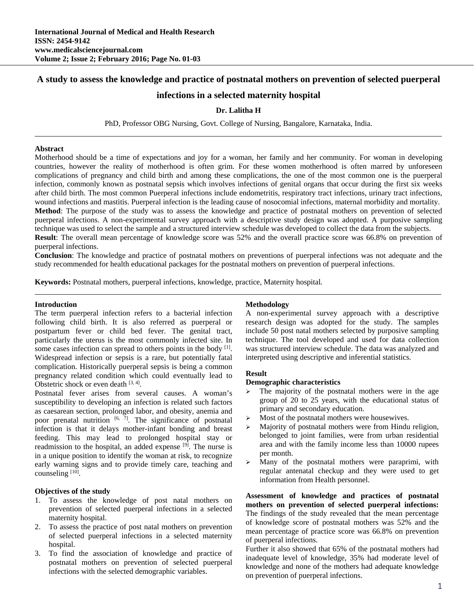# **A study to assess the knowledge and practice of postnatal mothers on prevention of selected puerperal**

# **infections in a selected maternity hospital**

#### **Dr. Lalitha H**

PhD, Professor OBG Nursing, Govt. College of Nursing, Bangalore, Karnataka, India.

#### **Abstract**

Motherhood should be a time of expectations and joy for a woman, her family and her community. For woman in developing countries, however the reality of motherhood is often grim. For these women motherhood is often marred by unforeseen complications of pregnancy and child birth and among these complications, the one of the most common one is the puerperal infection, commonly known as postnatal sepsis which involves infections of genital organs that occur during the first six weeks after child birth. The most common Puerperal infections include endometritis, respiratory tract infections, urinary tract infections, wound infections and mastitis. Puerperal infection is the leading cause of nosocomial infections, maternal morbidity and mortality. **Method**: The purpose of the study was to assess the knowledge and practice of postnatal mothers on prevention of selected puerperal infections. A non-experimental survey approach with a descriptive study design was adopted. A purposive sampling technique was used to select the sample and a structured interview schedule was developed to collect the data from the subjects. **Result**: The overall mean percentage of knowledge score was 52% and the overall practice score was 66.8% on prevention of

puerperal infections.

**Conclusion**: The knowledge and practice of postnatal mothers on preventions of puerperal infections was not adequate and the study recommended for health educational packages for the postnatal mothers on prevention of puerperal infections.

**Keywords:** Postnatal mothers, puerperal infections, knowledge, practice, Maternity hospital*.*

#### **Introduction**

The term puerperal infection refers to a bacterial infection following child birth. It is also referred as puerperal or postpartum fever or child bed fever. The genital tract, particularly the uterus is the most commonly infected site. In some cases infection can spread to others points in the body [1]. Widespread infection or sepsis is a rare, but potentially fatal complication. Historically puerperal sepsis is being a common pregnancy related condition which could eventually lead to Obstetric shock or even death  $[3, 4]$ .

Postnatal fever arises from several causes. A woman's susceptibility to developing an infection is related such factors as caesarean section, prolonged labor, and obesity, anemia and poor prenatal nutrition  $[6, 7]$ . The significance of postnatal infection is that it delays mother-infant bonding and breast feeding. This may lead to prolonged hospital stay or readmission to the hospital, an added expense [9]. The nurse is in a unique position to identify the woman at risk, to recognize early warning signs and to provide timely care, teaching and counseling  $[10]$ .

## **Objectives of the study**

- 1. To assess the knowledge of post natal mothers on prevention of selected puerperal infections in a selected maternity hospital.
- 2. To assess the practice of post natal mothers on prevention of selected puerperal infections in a selected maternity hospital.
- 3. To find the association of knowledge and practice of postnatal mothers on prevention of selected puerperal infections with the selected demographic variables.

#### **Methodology**

A non-experimental survey approach with a descriptive research design was adopted for the study. The samples include 50 post natal mothers selected by purposive sampling technique. The tool developed and used for data collection was structured interview schedule. The data was analyzed and interpreted using descriptive and inferential statistics.

### **Result**

#### **Demographic characteristics**

- The majority of the postnatal mothers were in the age group of 20 to 25 years, with the educational status of primary and secondary education.
- $\triangleright$  Most of the postnatal mothers were housewives.
- Majority of postnatal mothers were from Hindu religion, belonged to joint families, were from urban residential area and with the family income less than 10000 rupees per month.
- $\geq$  Many of the postnatal mothers were paraprimi, with regular antenatal checkup and they were used to get information from Health personnel.

**Assessment of knowledge and practices of postnatal mothers on prevention of selected puerperal infections:**  The findings of the study revealed that the mean percentage of knowledge score of postnatal mothers was 52% and the mean percentage of practice score was 66.8% on prevention of puerperal infections.

Further it also showed that 65% of the postnatal mothers had inadequate level of knowledge, 35% had moderate level of knowledge and none of the mothers had adequate knowledge on prevention of puerperal infections.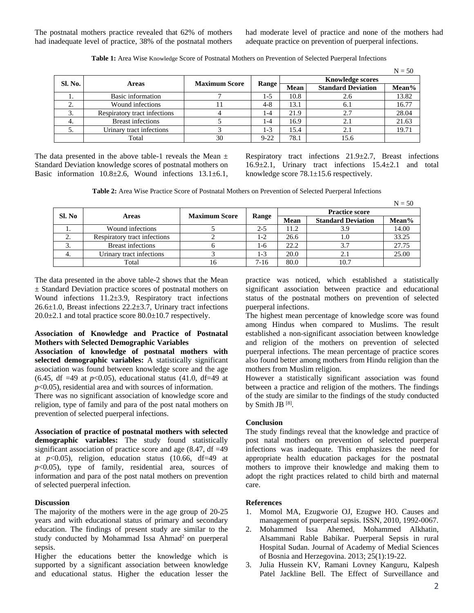The postnatal mothers practice revealed that 62% of mothers had inadequate level of practice, 38% of the postnatal mothers had moderate level of practice and none of the mothers had adequate practice on prevention of puerperal infections.

|                |                              |                      |          |                         |                           | $N = 50$ |
|----------------|------------------------------|----------------------|----------|-------------------------|---------------------------|----------|
| <b>Sl. No.</b> | <b>Areas</b>                 | <b>Maximum Score</b> | Range    | <b>Knowledge scores</b> |                           |          |
|                |                              |                      |          | <b>Mean</b>             | <b>Standard Deviation</b> | Mean%    |
| . .            | Basic information            |                      | 1-5      | 10.8                    | 2.6                       | 13.82    |
| <u>L.</u>      | Wound infections             |                      | $4 - 8$  | 13.1                    | 6.1                       | 16.77    |
| 3.             | Respiratory tract infections |                      | l -4     | 21.9                    | 2.7                       | 28.04    |
| 4.             | <b>Breast infections</b>     |                      | l -4     | 16.9                    | 2.1                       | 21.63    |
| J.             | Urinary tract infections     |                      | 1-3      | 15.4                    | 2.1                       | 19.71    |
|                | Total                        | 30                   | $9 - 22$ | 78.1                    | 15.6                      |          |

**Table 1:** Area Wise Knowledge Score of Postnatal Mothers on Prevention of Selected Puerperal Infections

The data presented in the above table-1 reveals the Mean  $\pm$ Standard Deviation knowledge scores of postnatal mothers on Basic information 10.8±2.6, Wound infections 13.1±6.1, Respiratory tract infections 21.9±2.7, Breast infections 16.9±2.1, Urinary tract infections 15.4±2.1 and total knowledge score 78.1±15.6 respectively.

**Table 2:** Area Wise Practice Score of Postnatal Mothers on Prevention of Selected Puerperal Infections

|        |                              |                      |         |                       |                           | $N = 50$ |
|--------|------------------------------|----------------------|---------|-----------------------|---------------------------|----------|
| Sl. No | <b>Areas</b>                 | <b>Maximum Score</b> | Range   | <b>Practice score</b> |                           |          |
|        |                              |                      |         | <b>Mean</b>           | <b>Standard Deviation</b> | Mean%    |
|        | Wound infections             |                      | $2 - 5$ | 11.2                  |                           | 14.00    |
| z.     | Respiratory tract infections |                      | 1-2     | 26.6                  | 1.0                       | 33.25    |
| 3.     | <b>Breast infections</b>     |                      | 1-6     | 22.2                  | 3.7                       | 27.75    |
| 4.     | Urinary tract infections     |                      | 1-3     | 20.0                  | 2.1                       | 25.00    |
|        | Total                        | 16                   | $7-16$  | 80.0                  | 10.7                      |          |

The data presented in the above table-2 shows that the Mean ± Standard Deviation practice scores of postnatal mothers on Wound infections 11.2±3.9, Respiratory tract infections 26.6±1.0, Breast infections 22.2±3.7, Urinary tract infections  $20.0\pm2.1$  and total practice score  $80.0\pm10.7$  respectively.

## **Association of Knowledge and Practice of Postnatal Mothers with Selected Demographic Variables**

**Association of knowledge of postnatal mothers with selected demographic variables:** A statistically significant association was found between knowledge score and the age  $(6.45, df = 49 at p < 0.05)$ , educational status  $(41.0, df = 49 at$ *p*<0.05), residential area and with sources of information.

There was no significant association of knowledge score and religion, type of family and para of the post natal mothers on prevention of selected puerperal infections.

**Association of practice of postnatal mothers with selected demographic variables:** The study found statistically significant association of practice score and age  $(8.47, df = 49)$ at  $p<0.05$ ), religion, education status (10.66, df=49 at *p*<0.05), type of family, residential area, sources of information and para of the post natal mothers on prevention of selected puerperal infection.

## **Discussion**

The majority of the mothers were in the age group of 20-25 years and with educational status of primary and secondary education. The findings of present study are similar to the study conducted by Mohammad Issa Ahmad<sup>2</sup> on puerperal sepsis.

Higher the educations better the knowledge which is supported by a significant association between knowledge and educational status. Higher the education lesser the

practice was noticed, which established a statistically significant association between practice and educational status of the postnatal mothers on prevention of selected puerperal infections.

The highest mean percentage of knowledge score was found among Hindus when compared to Muslims. The result established a non-significant association between knowledge and religion of the mothers on prevention of selected puerperal infections. The mean percentage of practice scores also found better among mothers from Hindu religion than the mothers from Muslim religion.

However a statistically significant association was found between a practice and religion of the mothers. The findings of the study are similar to the findings of the study conducted by Smith JB [8].

# **Conclusion**

The study findings reveal that the knowledge and practice of post natal mothers on prevention of selected puerperal infections was inadequate. This emphasizes the need for appropriate health education packages for the postnatal mothers to improve their knowledge and making them to adopt the right practices related to child birth and maternal care.

## **References**

- 1. Momol MA, Ezugworie OJ, Ezugwe HO. Causes and management of puerperal sepsis. ISSN, 2010, 1992-0067.
- 2. Mohammed Issa Ahemed, Mohammed Alkhatin, Alsammani Rable Babikar. Puerperal Sepsis in rural Hospital Sudan. Journal of Academy of Medial Sciences of Bosnia and Herzegovina. 2013; 25(1):19-22.
- 3. Julia Hussein KV, Ramani Lovney Kanguru, Kalpesh Patel Jackline Bell. The Effect of Surveillance and